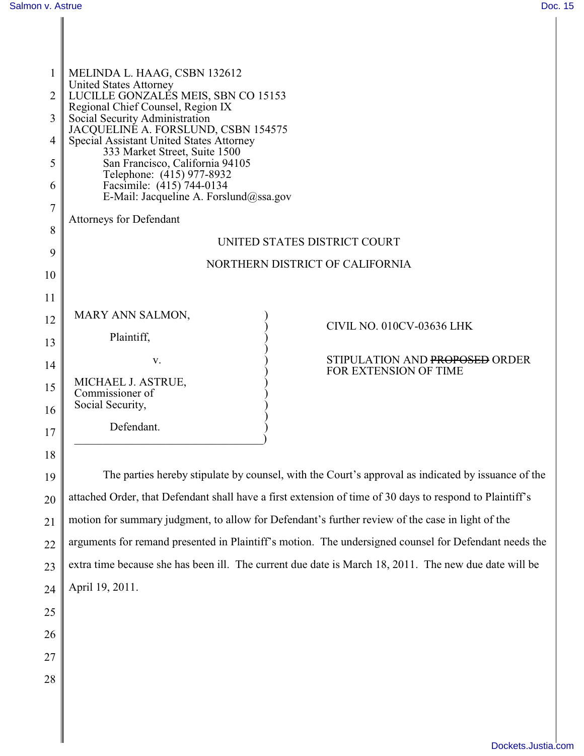| $\mathbf{1}$ | MELINDA L. HAAG, CSBN 132612                                                                             |
|--------------|----------------------------------------------------------------------------------------------------------|
| 2            | <b>United States Attorney</b><br>LUCILLE GONZALES MEIS, SBN CO 15153                                     |
| 3            | Regional Chief Counsel, Region IX<br>Social Security Administration                                      |
|              | JACQUELINE A. FORSLUND, CSBN 154575                                                                      |
| 4            | Special Assistant United States Attorney<br>333 Market Street, Suite 1500                                |
| 5            | San Francisco, California 94105                                                                          |
| 6            | Telephone: (415) 977-8932<br>Facsimile: (415) 744-0134                                                   |
|              | E-Mail: Jacqueline A. Forslund@ssa.gov                                                                   |
| 7            | <b>Attorneys for Defendant</b>                                                                           |
| 8            | UNITED STATES DISTRICT COURT                                                                             |
| 9            |                                                                                                          |
| 10           | NORTHERN DISTRICT OF CALIFORNIA                                                                          |
|              |                                                                                                          |
| 11           |                                                                                                          |
| 12           | MARY ANN SALMON,<br>CIVIL NO. 010CV-03636 LHK                                                            |
| 13           | Plaintiff,                                                                                               |
| 14           | STIPULATION AND PROPOSED ORDER<br>V.                                                                     |
|              | FOR EXTENSION OF TIME<br>MICHAEL J. ASTRUE,                                                              |
| 15           | Commissioner of                                                                                          |
| 16           | Social Security,                                                                                         |
| 17           | Defendant.                                                                                               |
| 18           |                                                                                                          |
|              | The parties hereby stipulate by counsel, with the Court's approval as indicated by issuance of the       |
| 19           |                                                                                                          |
| 20           | attached Order, that Defendant shall have a first extension of time of 30 days to respond to Plaintiff's |

21 motion for summary judgment, to allow for Defendant's further review of the case in light of the

22 arguments for remand presented in Plaintiff's motion. The undersigned counsel for Defendant needs the

23 24 extra time because she has been ill. The current due date is March 18, 2011. The new due date will be April 19, 2011.

- 25
- 26
- 27
- 28